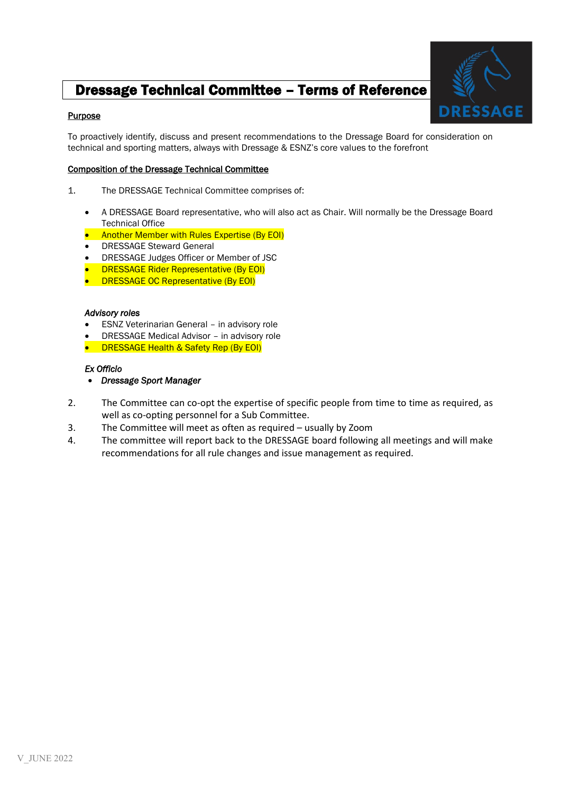# Dressage Technical Committee – Terms of Reference

## **Purpose**



To proactively identify, discuss and present recommendations to the Dressage Board for consideration on technical and sporting matters, always with Dressage & ESNZ's core values to the forefront

## Composition of the Dressage Technical Committee

- 1. The DRESSAGE Technical Committee comprises of:
	- A DRESSAGE Board representative, who will also act as Chair. Will normally be the Dressage Board Technical Office
	- Another Member with Rules Expertise (By EOI)
	- DRESSAGE Steward General
	- DRESSAGE Judges Officer or Member of JSC
	- DRESSAGE Rider Representative (By EOI)
	- **DRESSAGE OC Representative (By EOI)**

#### *Advisory roles*

- ESNZ Veterinarian General in advisory role
- DRESSAGE Medical Advisor in advisory role
- DRESSAGE Health & Safety Rep (By EOI)

#### *Ex Officio*

- *Dressage Sport Manager*
- 2. The Committee can co-opt the expertise of specific people from time to time as required, as well as co-opting personnel for a Sub Committee.
- 3. The Committee will meet as often as required usually by Zoom
- 4. The committee will report back to the DRESSAGE board following all meetings and will make recommendations for all rule changes and issue management as required.